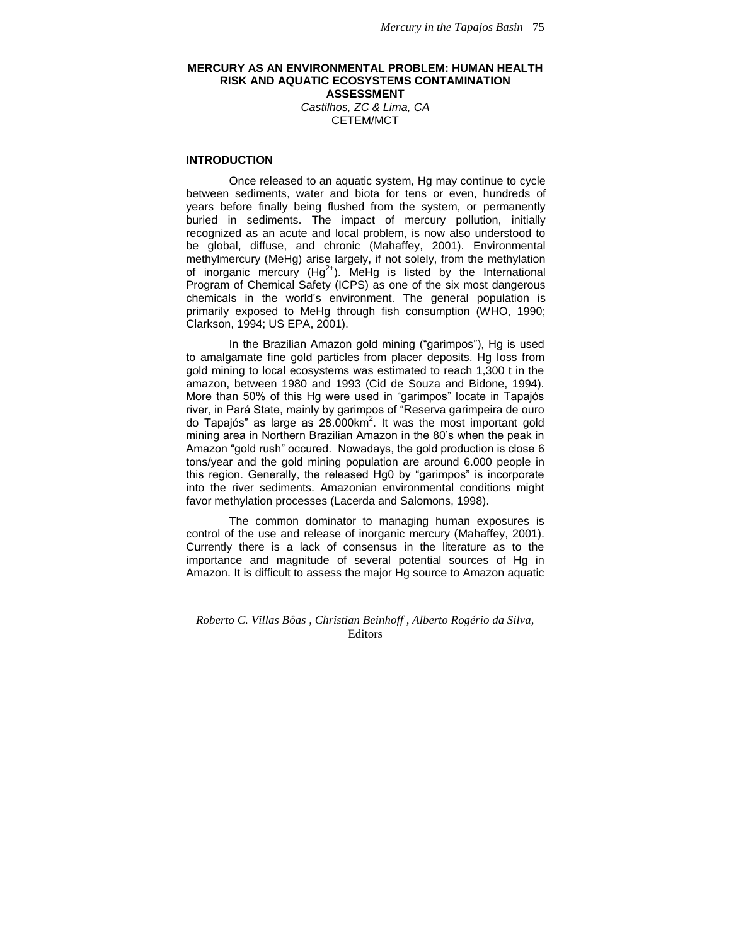## **MERCURY AS AN ENVIRONMENTAL PROBLEM: HUMAN HEALTH RISK AND AQUATIC ECOSYSTEMS CONTAMINATION ASSESSMENT** *Castilhos, ZC & Lima, CA*

CETEM/MCT

# **INTRODUCTION**

Once released to an aquatic system, Hg may continue to cycle between sediments, water and biota for tens or even, hundreds of years before finally being flushed from the system, or permanently buried in sediments. The impact of mercury pollution, initially recognized as an acute and local problem, is now also understood to be global, diffuse, and chronic (Mahaffey, 2001). Environmental methylmercury (MeHg) arise largely, if not solely, from the methylation of inorganic mercury  $(Hg^{2+})$ . MeHg is listed by the International Program of Chemical Safety (ICPS) as one of the six most dangerous chemicals in the world's environment. The general population is primarily exposed to MeHg through fish consumption (WHO, 1990; Clarkson, 1994; US EPA, 2001).

In the Brazilian Amazon gold mining ("garimpos"), Hg is used to amalgamate fine gold particles from placer deposits. Hg loss from gold mining to local ecosystems was estimated to reach 1,300 t in the amazon, between 1980 and 1993 (Cid de Souza and Bidone, 1994). More than 50% of this Hg were used in "garimpos" locate in Tapajós river, in Pará State, mainly by garimpos of "Reserva garimpeira de ouro do Tapajós" as large as 28.000km<sup>2</sup>. It was the most important gold mining area in Northern Brazilian Amazon in the 80's when the peak in Amazon "gold rush" occured. Nowadays, the gold production is close 6 tons/year and the gold mining population are around 6.000 people in this region. Generally, the released Hg0 by "garimpos" is incorporate into the river sediments. Amazonian environmental conditions might favor methylation processes (Lacerda and Salomons, 1998).

The common dominator to managing human exposures is control of the use and release of inorganic mercury (Mahaffey, 2001). Currently there is a lack of consensus in the literature as to the importance and magnitude of several potential sources of Hg in Amazon. It is difficult to assess the major Hg source to Amazon aquatic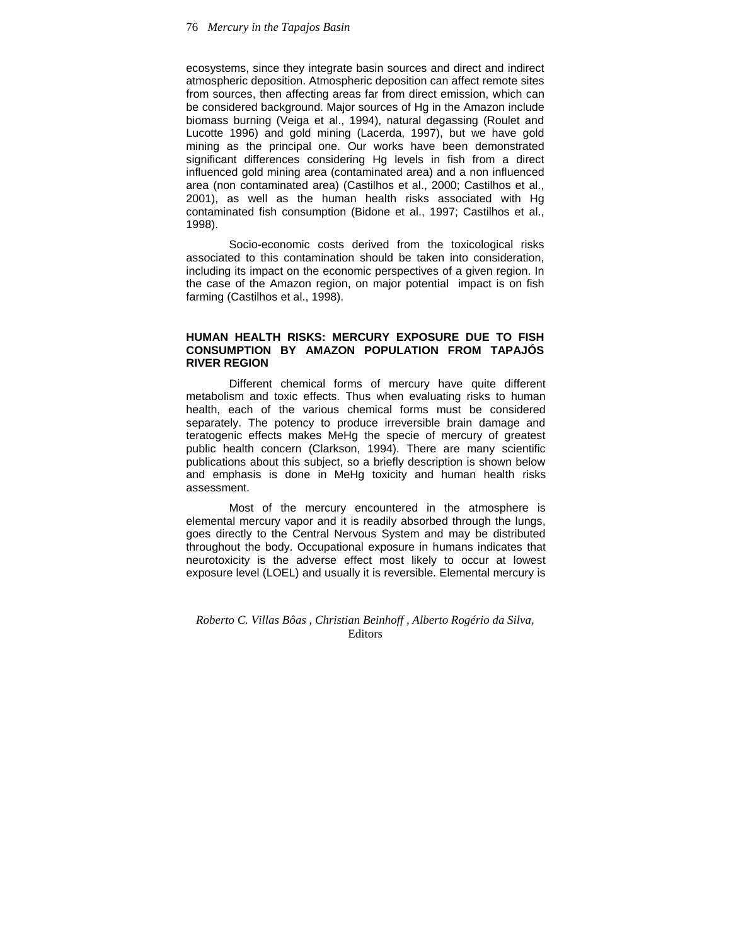ecosystems, since they integrate basin sources and direct and indirect atmospheric deposition. Atmospheric deposition can affect remote sites from sources, then affecting areas far from direct emission, which can be considered background. Major sources of Hg in the Amazon include biomass burning (Veiga et al., 1994), natural degassing (Roulet and Lucotte 1996) and gold mining (Lacerda, 1997), but we have gold mining as the principal one. Our works have been demonstrated significant differences considering Hg levels in fish from a direct influenced gold mining area (contaminated area) and a non influenced area (non contaminated area) (Castilhos et al., 2000; Castilhos et al., 2001), as well as the human health risks associated with Hg contaminated fish consumption (Bidone et al., 1997; Castilhos et al., 1998).

Socio-economic costs derived from the toxicological risks associated to this contamination should be taken into consideration, including its impact on the economic perspectives of a given region. In the case of the Amazon region, on major potential impact is on fish farming (Castilhos et al., 1998).

# **HUMAN HEALTH RISKS: MERCURY EXPOSURE DUE TO FISH CONSUMPTION BY AMAZON POPULATION FROM TAPAJÓS RIVER REGION**

Different chemical forms of mercury have quite different metabolism and toxic effects. Thus when evaluating risks to human health, each of the various chemical forms must be considered separately. The potency to produce irreversible brain damage and teratogenic effects makes MeHg the specie of mercury of greatest public health concern (Clarkson, 1994). There are many scientific publications about this subject, so a briefly description is shown below and emphasis is done in MeHg toxicity and human health risks assessment.

Most of the mercury encountered in the atmosphere is elemental mercury vapor and it is readily absorbed through the lungs, goes directly to the Central Nervous System and may be distributed throughout the body. Occupational exposure in humans indicates that neurotoxicity is the adverse effect most likely to occur at lowest exposure level (LOEL) and usually it is reversible. Elemental mercury is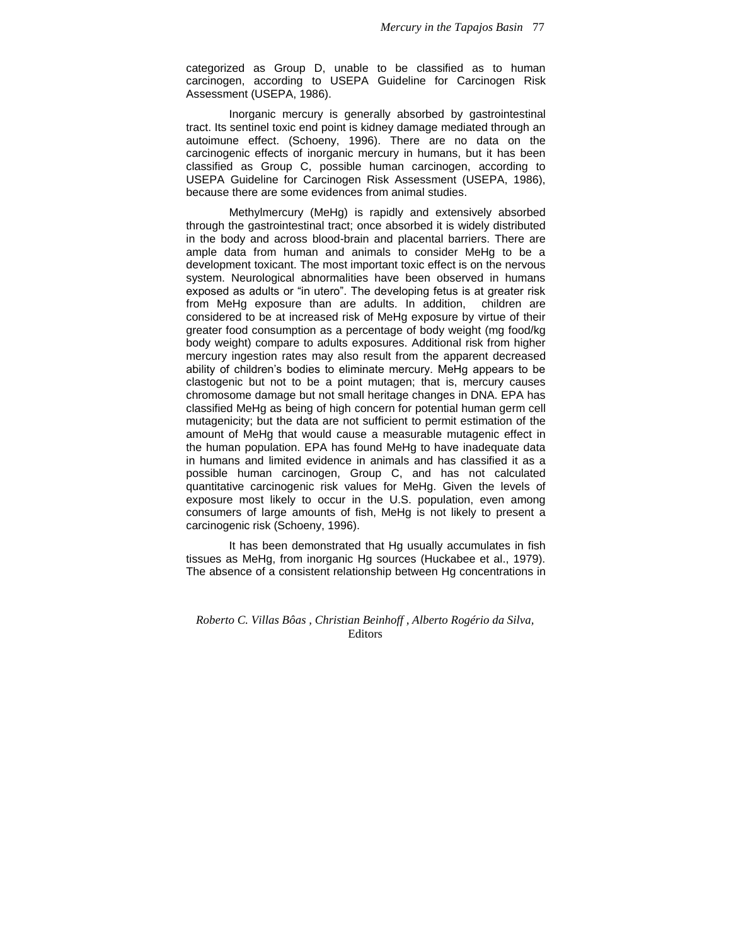categorized as Group D, unable to be classified as to human carcinogen, according to USEPA Guideline for Carcinogen Risk Assessment (USEPA, 1986).

Inorganic mercury is generally absorbed by gastrointestinal tract. Its sentinel toxic end point is kidney damage mediated through an autoimune effect. (Schoeny, 1996). There are no data on the carcinogenic effects of inorganic mercury in humans, but it has been classified as Group C, possible human carcinogen, according to USEPA Guideline for Carcinogen Risk Assessment (USEPA, 1986), because there are some evidences from animal studies.

Methylmercury (MeHg) is rapidly and extensively absorbed through the gastrointestinal tract; once absorbed it is widely distributed in the body and across blood-brain and placental barriers. There are ample data from human and animals to consider MeHg to be a development toxicant. The most important toxic effect is on the nervous system. Neurological abnormalities have been observed in humans exposed as adults or "in utero". The developing fetus is at greater risk from MeHg exposure than are adults. In addition, children are considered to be at increased risk of MeHg exposure by virtue of their greater food consumption as a percentage of body weight (mg food/kg body weight) compare to adults exposures. Additional risk from higher mercury ingestion rates may also result from the apparent decreased ability of children's bodies to eliminate mercury. MeHg appears to be clastogenic but not to be a point mutagen; that is, mercury causes chromosome damage but not small heritage changes in DNA. EPA has classified MeHg as being of high concern for potential human germ cell mutagenicity; but the data are not sufficient to permit estimation of the amount of MeHg that would cause a measurable mutagenic effect in the human population. EPA has found MeHg to have inadequate data in humans and limited evidence in animals and has classified it as a possible human carcinogen, Group C, and has not calculated quantitative carcinogenic risk values for MeHg. Given the levels of exposure most likely to occur in the U.S. population, even among consumers of large amounts of fish, MeHg is not likely to present a carcinogenic risk (Schoeny, 1996).

It has been demonstrated that Hg usually accumulates in fish tissues as MeHg, from inorganic Hg sources (Huckabee et al., 1979). The absence of a consistent relationship between Hg concentrations in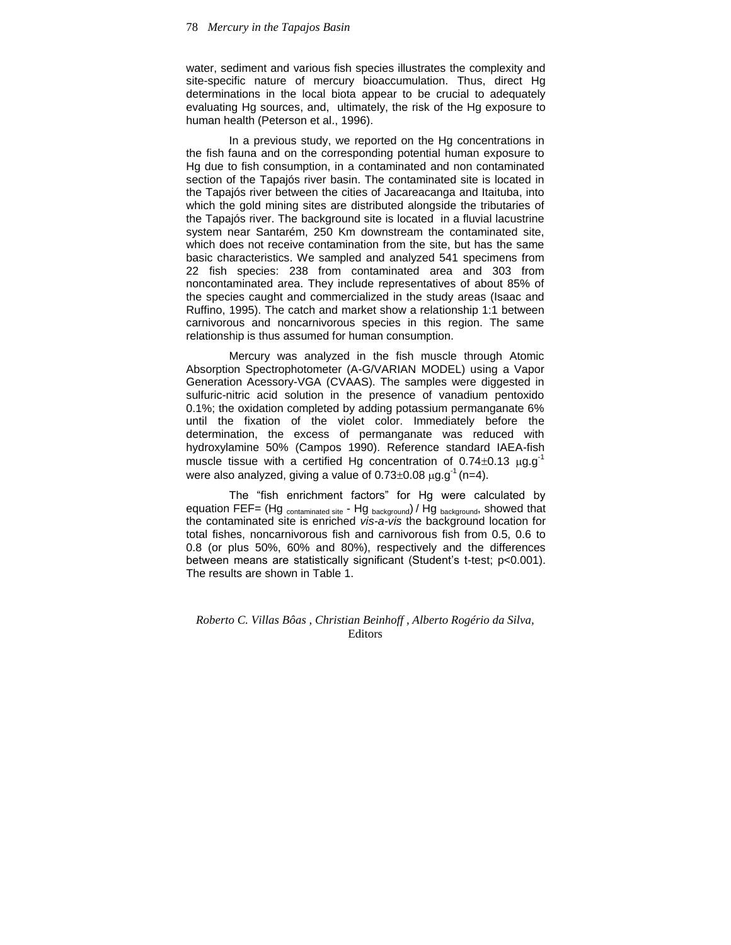water, sediment and various fish species illustrates the complexity and site-specific nature of mercury bioaccumulation. Thus, direct Hg determinations in the local biota appear to be crucial to adequately evaluating Hg sources, and, ultimately, the risk of the Hg exposure to human health (Peterson et al., 1996).

In a previous study, we reported on the Hg concentrations in the fish fauna and on the corresponding potential human exposure to Hg due to fish consumption, in a contaminated and non contaminated section of the Tapajós river basin. The contaminated site is located in the Tapajós river between the cities of Jacareacanga and Itaituba, into which the gold mining sites are distributed alongside the tributaries of the Tapajós river. The background site is located in a fluvial lacustrine system near Santarém, 250 Km downstream the contaminated site, which does not receive contamination from the site, but has the same basic characteristics. We sampled and analyzed 541 specimens from 22 fish species: 238 from contaminated area and 303 from noncontaminated area. They include representatives of about 85% of the species caught and commercialized in the study areas (Isaac and Ruffino, 1995). The catch and market show a relationship 1:1 between carnivorous and noncarnivorous species in this region. The same relationship is thus assumed for human consumption.

Mercury was analyzed in the fish muscle through Atomic Absorption Spectrophotometer (A-G/VARIAN MODEL) using a Vapor Generation Acessory-VGA (CVAAS). The samples were diggested in sulfuric-nitric acid solution in the presence of vanadium pentoxido 0.1%; the oxidation completed by adding potassium permanganate 6% until the fixation of the violet color. Immediately before the determination, the excess of permanganate was reduced with hydroxylamine 50% (Campos 1990). Reference standard IAEA-fish muscle tissue with a certified Hg concentration of  $0.74\pm0.13$   $\mu$ g.g<sup>-1</sup> were also analyzed, giving a value of  $0.73\pm0.08 \,\mu$ g.g<sup>-1</sup> (n=4).

The "fish enrichment factors" for Hg were calculated by equation FEF= (Hg  $_{\text{contaminated site}}$  - Hg  $_{\text{background}}$ ) / Hg  $_{\text{background}}$ , showed that the contaminated site is enriched *vis-a-vis* the background location for total fishes, noncarnivorous fish and carnivorous fish from 0.5, 0.6 to 0.8 (or plus 50%, 60% and 80%), respectively and the differences between means are statistically significant (Student's t-test; p<0.001). The results are shown in Table 1.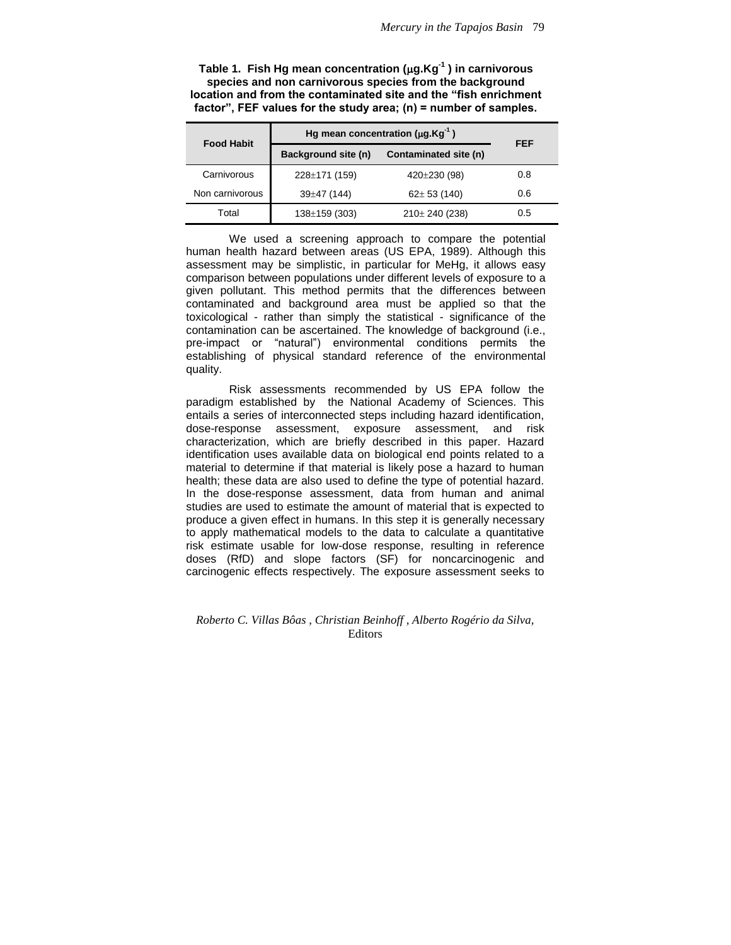| Table 1. Fish Hg mean concentration ( $\mu$ g.Kg <sup>-1</sup> ) in carnivorous |
|---------------------------------------------------------------------------------|
| species and non carnivorous species from the background                         |
| location and from the contaminated site and the "fish enrichment                |
| factor", FEF values for the study area; $(n)$ = number of samples.              |

| <b>Food Habit</b> |                     | Hg mean concentration ( $\mu$ g.Kg <sup>-1</sup> ) | <b>FEF</b> |
|-------------------|---------------------|----------------------------------------------------|------------|
|                   | Background site (n) | Contaminated site (n)                              |            |
| Carnivorous       | 228±171 (159)       | 420±230 (98)                                       | 0.8        |
| Non carnivorous   | $39\pm47(144)$      | $62 \pm 53$ (140)                                  | 0.6        |
| Total             | $138 \pm 159$ (303) | 210± 240 (238)                                     | 0.5        |

We used a screening approach to compare the potential human health hazard between areas (US EPA, 1989). Although this assessment may be simplistic, in particular for MeHg, it allows easy comparison between populations under different levels of exposure to a given pollutant. This method permits that the differences between contaminated and background area must be applied so that the toxicological - rather than simply the statistical - significance of the contamination can be ascertained. The knowledge of background (i.e., pre-impact or "natural") environmental conditions permits the establishing of physical standard reference of the environmental quality.

Risk assessments recommended by US EPA follow the paradigm established by the National Academy of Sciences. This entails a series of interconnected steps including hazard identification, dose-response assessment, exposure assessment, and risk characterization, which are briefly described in this paper. Hazard identification uses available data on biological end points related to a material to determine if that material is likely pose a hazard to human health; these data are also used to define the type of potential hazard. In the dose-response assessment, data from human and animal studies are used to estimate the amount of material that is expected to produce a given effect in humans. In this step it is generally necessary to apply mathematical models to the data to calculate a quantitative risk estimate usable for low-dose response, resulting in reference doses (RfD) and slope factors (SF) for noncarcinogenic and carcinogenic effects respectively. The exposure assessment seeks to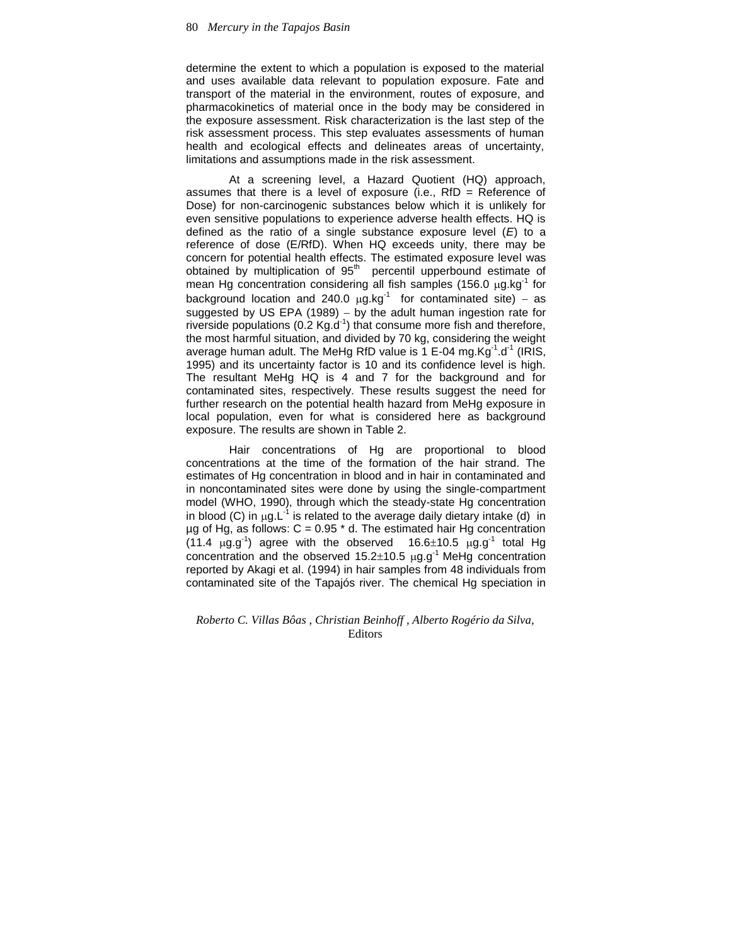determine the extent to which a population is exposed to the material and uses available data relevant to population exposure. Fate and transport of the material in the environment, routes of exposure, and pharmacokinetics of material once in the body may be considered in the exposure assessment. Risk characterization is the last step of the risk assessment process. This step evaluates assessments of human health and ecological effects and delineates areas of uncertainty, limitations and assumptions made in the risk assessment.

At a screening level, a Hazard Quotient (HQ) approach, assumes that there is a level of exposure (i.e., RfD = Reference of Dose) for non-carcinogenic substances below which it is unlikely for even sensitive populations to experience adverse health effects. HQ is defined as the ratio of a single substance exposure level (*E*) to a reference of dose (E/RfD). When HQ exceeds unity, there may be concern for potential health effects. The estimated exposure level was obtained by multiplication of 95<sup>th</sup> percentil upperbound estimate of mean Hg concentration considering all fish samples (156.0  $\mu$ g.kg<sup>-1</sup> for background location and 240.0  $\mu$ g.kg<sup>-1</sup> for contaminated site) – as suggested by US EPA (1989) – by the adult human ingestion rate for riverside populations (0.2  $Kg.d^{-1}$ ) that consume more fish and therefore, the most harmful situation, and divided by 70 kg, considering the weight average human adult. The MeHg RfD value is  $1$  E-04 mg.Kg<sup>-1</sup>.d<sup>-1</sup> (IRIS, 1995) and its uncertainty factor is 10 and its confidence level is high. The resultant MeHg HQ is 4 and 7 for the background and for contaminated sites, respectively. These results suggest the need for further research on the potential health hazard from MeHg exposure in local population, even for what is considered here as background exposure. The results are shown in Table 2.

Hair concentrations of Hg are proportional to blood concentrations at the time of the formation of the hair strand. The estimates of Hg concentration in blood and in hair in contaminated and in noncontaminated sites were done by using the single-compartment model (WHO, 1990), through which the steady-state Hg concentration in blood (C) in  $\mu$ g.L<sup>-1</sup> is related to the average daily dietary intake (d) in  $\mu$ g of Hg, as follows: C = 0.95  $*$  d. The estimated hair Hg concentration (11.4  $\mu$ g.g<sup>-1</sup>) agree with the observed 16.6 $\pm$ 10.5  $\mu$ g.g<sup>-1</sup> total Hg concentration and the observed  $15.2 \pm 10.5$   $\mu$ g.g<sup>-1</sup> MeHg concentration reported by Akagi et al. (1994) in hair samples from 48 individuals from contaminated site of the Tapajós river. The chemical Hg speciation in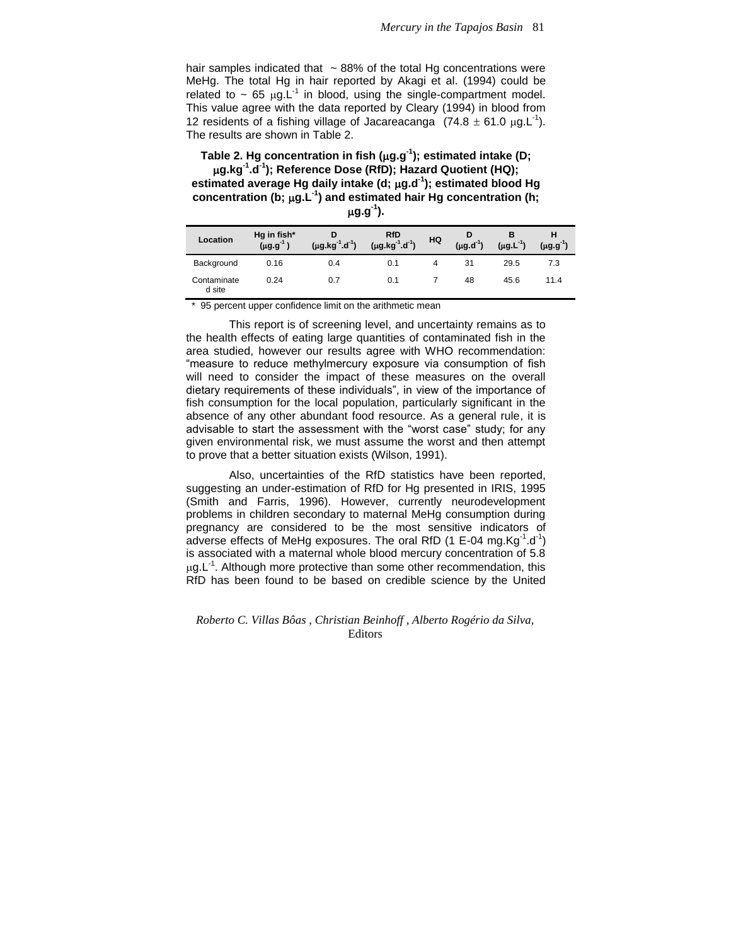hair samples indicated that  $\sim$  88% of the total Hg concentrations were MeHg. The total Hg in hair reported by Akagi et al. (1994) could be related to  $\sim$  65  $\mu$ g.L<sup>-1</sup> in blood, using the single-compartment model. This value agree with the data reported by Cleary (1994) in blood from 12 residents of a fishing village of Jacareacanga  $(74.8 \pm 61.0 \,\mu g.L^{-1})$ . The results are shown in Table 2.

**Table 2. Hg concentration in fish (g.g-1 ); estimated intake (D; g.kg-1 .d-1 ); Reference Dose (RfD); Hazard Quotient (HQ); estimated average Hg daily intake (d; g.d-1 ); estimated blood Hg concentration (b; g.L-1 ) and estimated hair Hg concentration (h; g.g-1**

| ٧<br>۰,<br>×<br>×. |  |
|--------------------|--|
|--------------------|--|

| Location              | Hg in fish*<br>$(\mu g. g^{-1})$ | D<br>$(\mu g.kg^{-1}.d^{-1})$ | <b>RfD</b><br>$(\mu g.kg^{-1}.d^{-1})$ | HQ | D<br>$(\mu g.d^{-1})$ | в<br>$(\mu g.L^{-1})$ | н<br>$($ ug.g <sup>-1</sup> ) |
|-----------------------|----------------------------------|-------------------------------|----------------------------------------|----|-----------------------|-----------------------|-------------------------------|
| Background            | 0.16                             | 0.4                           | 0.1                                    | 4  | 31                    | 29.5                  | 7.3                           |
| Contaminate<br>d site | 0.24                             | 0.7                           | 0.1                                    |    | 48                    | 45.6                  | 11.4                          |

\* 95 percent upper confidence limit on the arithmetic mean

This report is of screening level, and uncertainty remains as to the health effects of eating large quantities of contaminated fish in the area studied, however our results agree with WHO recommendation: "measure to reduce methylmercury exposure via consumption of fish will need to consider the impact of these measures on the overall dietary requirements of these individuals", in view of the importance of fish consumption for the local population, particularly significant in the absence of any other abundant food resource. As a general rule, it is advisable to start the assessment with the "worst case" study; for any given environmental risk, we must assume the worst and then attempt to prove that a better situation exists (Wilson, 1991).

Also, uncertainties of the RfD statistics have been reported, suggesting an under-estimation of RfD for Hg presented in IRIS, 1995 (Smith and Farris, 1996). However, currently neurodevelopment problems in children secondary to maternal MeHg consumption during pregnancy are considered to be the most sensitive indicators of adverse effects of MeHg exposures. The oral RfD (1 E-04 mg.Kg $^{-1}$ .d $^{-1}$ ) is associated with a maternal whole blood mercury concentration of 5.8  $\mu$ g.L<sup>-1</sup>. Although more protective than some other recommendation, this RfD has been found to be based on credible science by the United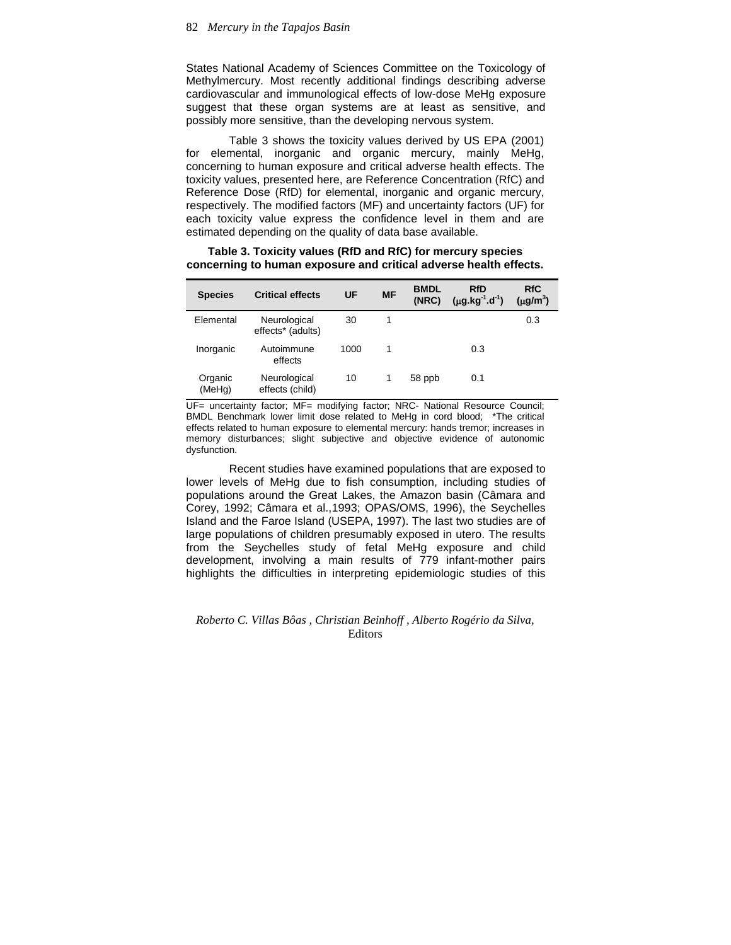States National Academy of Sciences Committee on the Toxicology of Methylmercury. Most recently additional findings describing adverse cardiovascular and immunological effects of low-dose MeHg exposure suggest that these organ systems are at least as sensitive, and possibly more sensitive, than the developing nervous system.

Table 3 shows the toxicity values derived by US EPA (2001) for elemental, inorganic and organic mercury, mainly MeHg, concerning to human exposure and critical adverse health effects. The toxicity values, presented here, are Reference Concentration (RfC) and Reference Dose (RfD) for elemental, inorganic and organic mercury, respectively. The modified factors (MF) and uncertainty factors (UF) for each toxicity value express the confidence level in them and are estimated depending on the quality of data base available.

| <b>Species</b>    | <b>Critical effects</b>           | UF   | <b>MF</b> | <b>BMDL</b><br>(NRC) | <b>RfD</b><br>$(\mu g.kg^{-1}.d^{-1})$ | <b>RfC</b><br>$(\mu g/m^3)$ |
|-------------------|-----------------------------------|------|-----------|----------------------|----------------------------------------|-----------------------------|
| Elemental         | Neurological<br>effects* (adults) | 30   | 1         |                      |                                        | 0.3                         |
| Inorganic         | Autoimmune<br>effects             | 1000 | 1         |                      | 0.3                                    |                             |
| Organic<br>(MeHg) | Neurological<br>effects (child)   | 10   |           | 58 ppb               | 0.1                                    |                             |

**Table 3. Toxicity values (RfD and RfC) for mercury species concerning to human exposure and critical adverse health effects.**

UF= uncertainty factor; MF= modifying factor; NRC- National Resource Council; BMDL Benchmark lower limit dose related to MeHg in cord blood; \*The critical effects related to human exposure to elemental mercury: hands tremor; increases in memory disturbances; slight subjective and objective evidence of autonomic dysfunction.

Recent studies have examined populations that are exposed to lower levels of MeHg due to fish consumption, including studies of populations around the Great Lakes, the Amazon basin (Câmara and Corey, 1992; Câmara et al.,1993; OPAS/OMS, 1996), the Seychelles Island and the Faroe Island (USEPA, 1997). The last two studies are of large populations of children presumably exposed in utero. The results from the Seychelles study of fetal MeHg exposure and child development, involving a main results of 779 infant-mother pairs highlights the difficulties in interpreting epidemiologic studies of this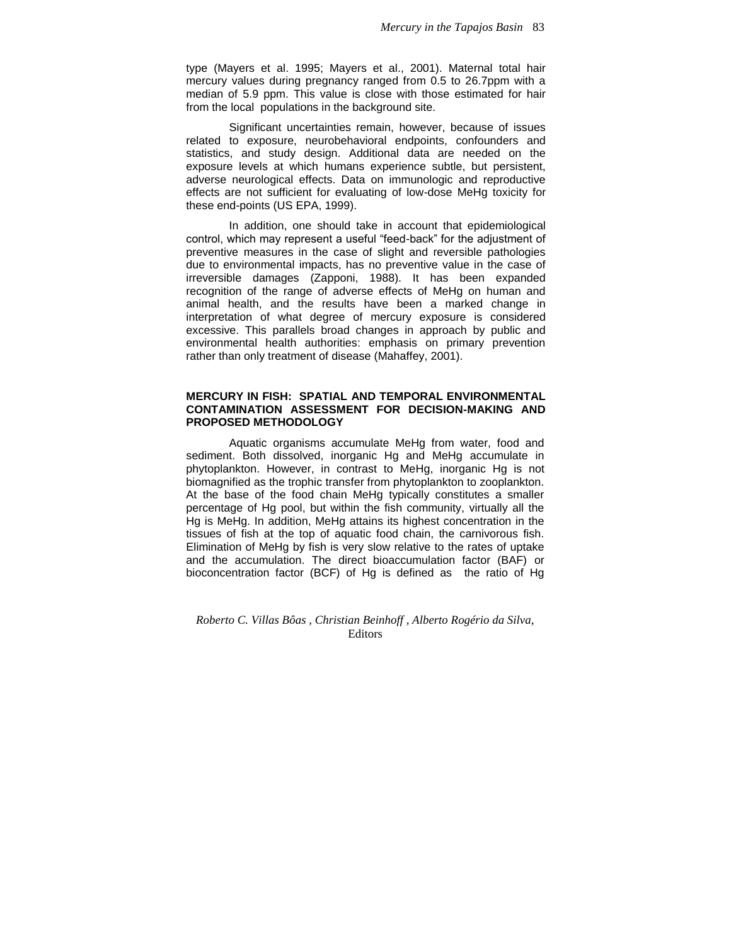type (Mayers et al. 1995; Mayers et al., 2001). Maternal total hair mercury values during pregnancy ranged from 0.5 to 26.7ppm with a median of 5.9 ppm. This value is close with those estimated for hair from the local populations in the background site.

Significant uncertainties remain, however, because of issues related to exposure, neurobehavioral endpoints, confounders and statistics, and study design. Additional data are needed on the exposure levels at which humans experience subtle, but persistent, adverse neurological effects. Data on immunologic and reproductive effects are not sufficient for evaluating of low-dose MeHg toxicity for these end-points (US EPA, 1999).

In addition, one should take in account that epidemiological control, which may represent a useful "feed-back" for the adjustment of preventive measures in the case of slight and reversible pathologies due to environmental impacts, has no preventive value in the case of irreversible damages (Zapponi, 1988). It has been expanded recognition of the range of adverse effects of MeHg on human and animal health, and the results have been a marked change in interpretation of what degree of mercury exposure is considered excessive. This parallels broad changes in approach by public and environmental health authorities: emphasis on primary prevention rather than only treatment of disease (Mahaffey, 2001).

## **MERCURY IN FISH: SPATIAL AND TEMPORAL ENVIRONMENTAL CONTAMINATION ASSESSMENT FOR DECISION-MAKING AND PROPOSED METHODOLOGY**

Aquatic organisms accumulate MeHg from water, food and sediment. Both dissolved, inorganic Hg and MeHg accumulate in phytoplankton. However, in contrast to MeHg, inorganic Hg is not biomagnified as the trophic transfer from phytoplankton to zooplankton. At the base of the food chain MeHg typically constitutes a smaller percentage of Hg pool, but within the fish community, virtually all the Hg is MeHg. In addition, MeHg attains its highest concentration in the tissues of fish at the top of aquatic food chain, the carnivorous fish. Elimination of MeHg by fish is very slow relative to the rates of uptake and the accumulation. The direct bioaccumulation factor (BAF) or bioconcentration factor (BCF) of Hg is defined as the ratio of Hg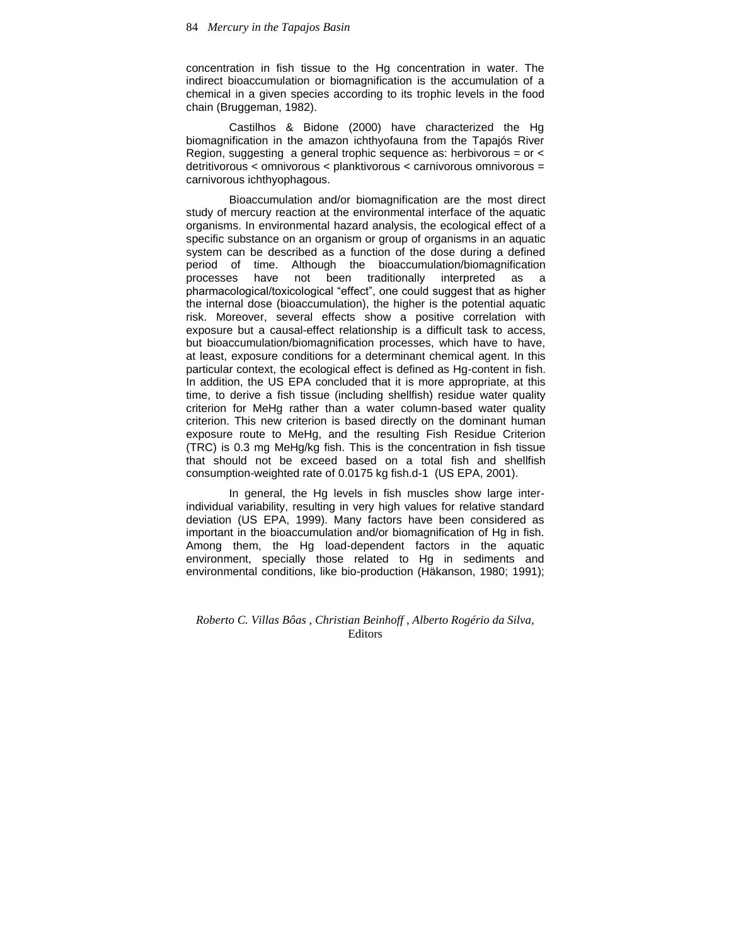concentration in fish tissue to the Hg concentration in water. The indirect bioaccumulation or biomagnification is the accumulation of a chemical in a given species according to its trophic levels in the food chain (Bruggeman, 1982).

Castilhos & Bidone (2000) have characterized the Hg biomagnification in the amazon ichthyofauna from the Tapajós River Region, suggesting a general trophic sequence as: herbivorous = or < detritivorous < omnivorous < planktivorous < carnivorous omnivorous = carnivorous ichthyophagous.

Bioaccumulation and/or biomagnification are the most direct study of mercury reaction at the environmental interface of the aquatic organisms. In environmental hazard analysis, the ecological effect of a specific substance on an organism or group of organisms in an aquatic system can be described as a function of the dose during a defined period of time. Although the bioaccumulation/biomagnification<br>processes have not been traditionally interpreted as a processes have not been traditionally interpreted as a pharmacological/toxicological "effect", one could suggest that as higher the internal dose (bioaccumulation), the higher is the potential aquatic risk. Moreover, several effects show a positive correlation with exposure but a causal-effect relationship is a difficult task to access, but bioaccumulation/biomagnification processes, which have to have, at least, exposure conditions for a determinant chemical agent. In this particular context, the ecological effect is defined as Hg-content in fish. In addition, the US EPA concluded that it is more appropriate, at this time, to derive a fish tissue (including shellfish) residue water quality criterion for MeHg rather than a water column-based water quality criterion. This new criterion is based directly on the dominant human exposure route to MeHg, and the resulting Fish Residue Criterion (TRC) is 0.3 mg MeHg/kg fish. This is the concentration in fish tissue that should not be exceed based on a total fish and shellfish consumption-weighted rate of 0.0175 kg fish.d-1 (US EPA, 2001).

In general, the Hg levels in fish muscles show large interindividual variability, resulting in very high values for relative standard deviation (US EPA, 1999). Many factors have been considered as important in the bioaccumulation and/or biomagnification of Hg in fish. Among them, the Hg load-dependent factors in the aquatic environment, specially those related to Hg in sediments and environmental conditions, like bio-production (Häkanson, 1980; 1991);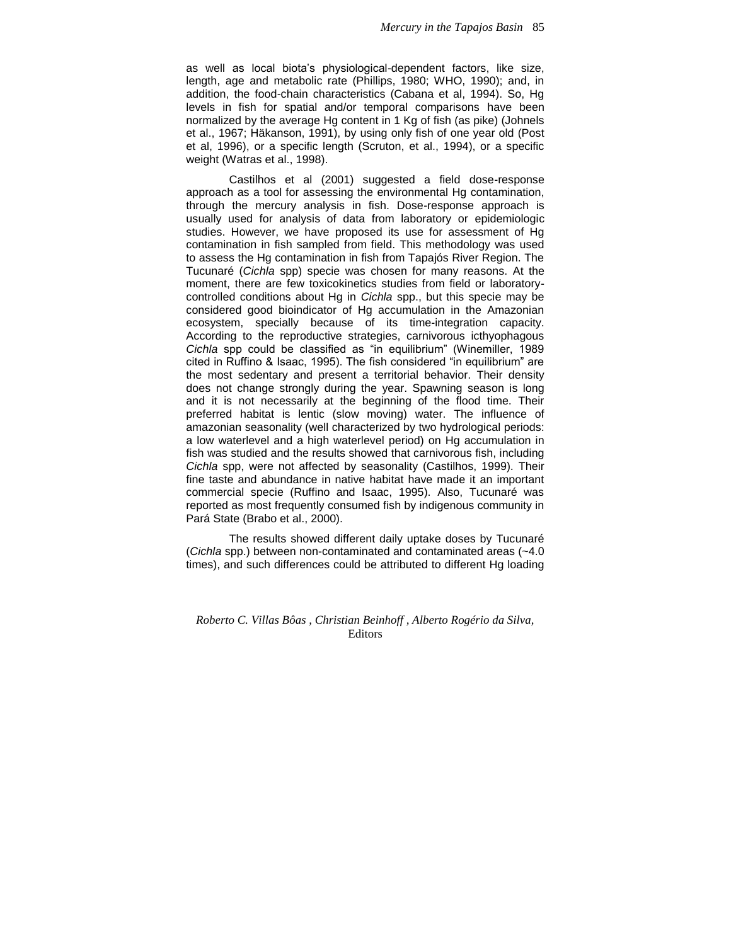as well as local biota's physiological-dependent factors, like size, length, age and metabolic rate (Phillips, 1980; WHO, 1990); and, in addition, the food-chain characteristics (Cabana et al, 1994). So, Hg levels in fish for spatial and/or temporal comparisons have been normalized by the average Hg content in 1 Kg of fish (as pike) (Johnels et al., 1967; Häkanson, 1991), by using only fish of one year old (Post et al, 1996), or a specific length (Scruton, et al., 1994), or a specific weight (Watras et al., 1998).

Castilhos et al (2001) suggested a field dose-response approach as a tool for assessing the environmental Hg contamination, through the mercury analysis in fish. Dose-response approach is usually used for analysis of data from laboratory or epidemiologic studies. However, we have proposed its use for assessment of Hg contamination in fish sampled from field. This methodology was used to assess the Hg contamination in fish from Tapajós River Region. The Tucunaré (*Cichla* spp) specie was chosen for many reasons. At the moment, there are few toxicokinetics studies from field or laboratorycontrolled conditions about Hg in *Cichla* spp., but this specie may be considered good bioindicator of Hg accumulation in the Amazonian ecosystem, specially because of its time-integration capacity. According to the reproductive strategies, carnivorous icthyophagous *Cichla* spp could be classified as "in equilibrium" (Winemiller, 1989 cited in Ruffino & Isaac, 1995). The fish considered "in equilibrium" are the most sedentary and present a territorial behavior. Their density does not change strongly during the year. Spawning season is long and it is not necessarily at the beginning of the flood time. Their preferred habitat is lentic (slow moving) water. The influence of amazonian seasonality (well characterized by two hydrological periods: a low waterlevel and a high waterlevel period) on Hg accumulation in fish was studied and the results showed that carnivorous fish, including *Cichla* spp, were not affected by seasonality (Castilhos, 1999). Their fine taste and abundance in native habitat have made it an important commercial specie (Ruffino and Isaac, 1995). Also, Tucunaré was reported as most frequently consumed fish by indigenous community in Pará State (Brabo et al., 2000).

The results showed different daily uptake doses by Tucunaré (*Cichla* spp.) between non-contaminated and contaminated areas (~4.0 times), and such differences could be attributed to different Hg loading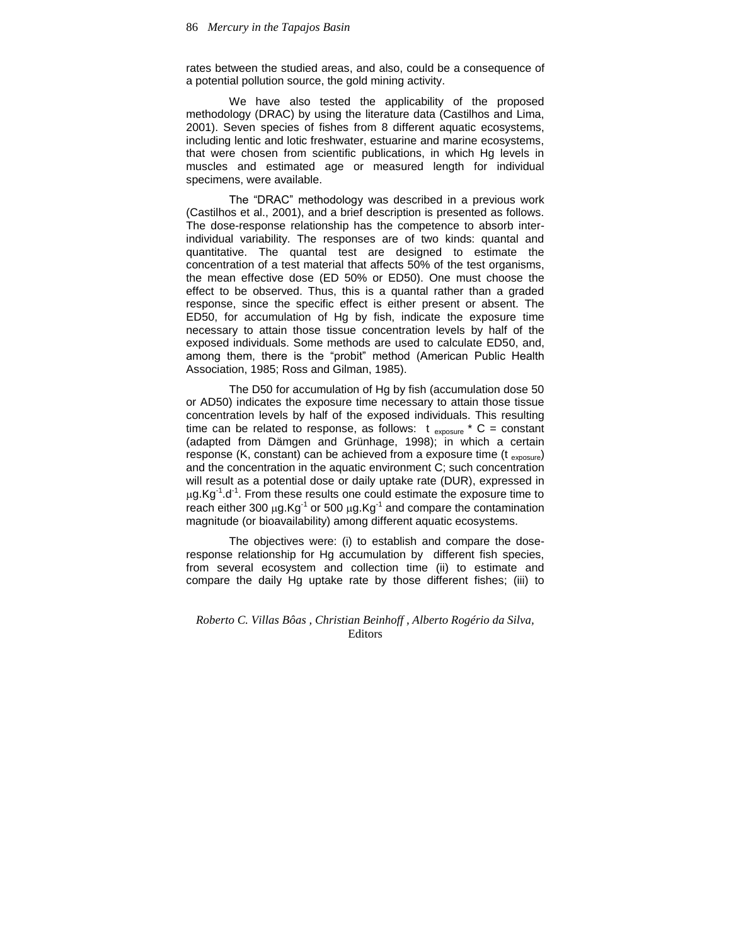rates between the studied areas, and also, could be a consequence of a potential pollution source, the gold mining activity.

We have also tested the applicability of the proposed methodology (DRAC) by using the literature data (Castilhos and Lima, 2001). Seven species of fishes from 8 different aquatic ecosystems, including lentic and lotic freshwater, estuarine and marine ecosystems, that were chosen from scientific publications, in which Hg levels in muscles and estimated age or measured length for individual specimens, were available.

The "DRAC" methodology was described in a previous work (Castilhos et al., 2001), and a brief description is presented as follows. The dose-response relationship has the competence to absorb interindividual variability. The responses are of two kinds: quantal and quantitative. The quantal test are designed to estimate the concentration of a test material that affects 50% of the test organisms, the mean effective dose (ED 50% or ED50). One must choose the effect to be observed. Thus, this is a quantal rather than a graded response, since the specific effect is either present or absent. The ED50, for accumulation of Hg by fish, indicate the exposure time necessary to attain those tissue concentration levels by half of the exposed individuals. Some methods are used to calculate ED50, and, among them, there is the "probit" method (American Public Health Association, 1985; Ross and Gilman, 1985).

The D50 for accumulation of Hg by fish (accumulation dose 50 or AD50) indicates the exposure time necessary to attain those tissue concentration levels by half of the exposed individuals. This resulting time can be related to response, as follows:  $t_{\text{exposure}} * C = \text{constant}$ (adapted from Dämgen and Grünhage, 1998); in which a certain response (K, constant) can be achieved from a exposure time ( $t_{exposure}$ ) and the concentration in the aquatic environment C; such concentration will result as a potential dose or daily uptake rate (DUR), expressed in  $\mu$ g.Kg<sup>-1</sup>.d<sup>-1</sup>. From these results one could estimate the exposure time to reach either 300  $\mu$ g.Kg<sup>-1</sup> or 500  $\mu$ g.Kg<sup>-1</sup> and compare the contamination magnitude (or bioavailability) among different aquatic ecosystems.

The objectives were: (i) to establish and compare the doseresponse relationship for Hg accumulation by different fish species, from several ecosystem and collection time (ii) to estimate and compare the daily Hg uptake rate by those different fishes; (iii) to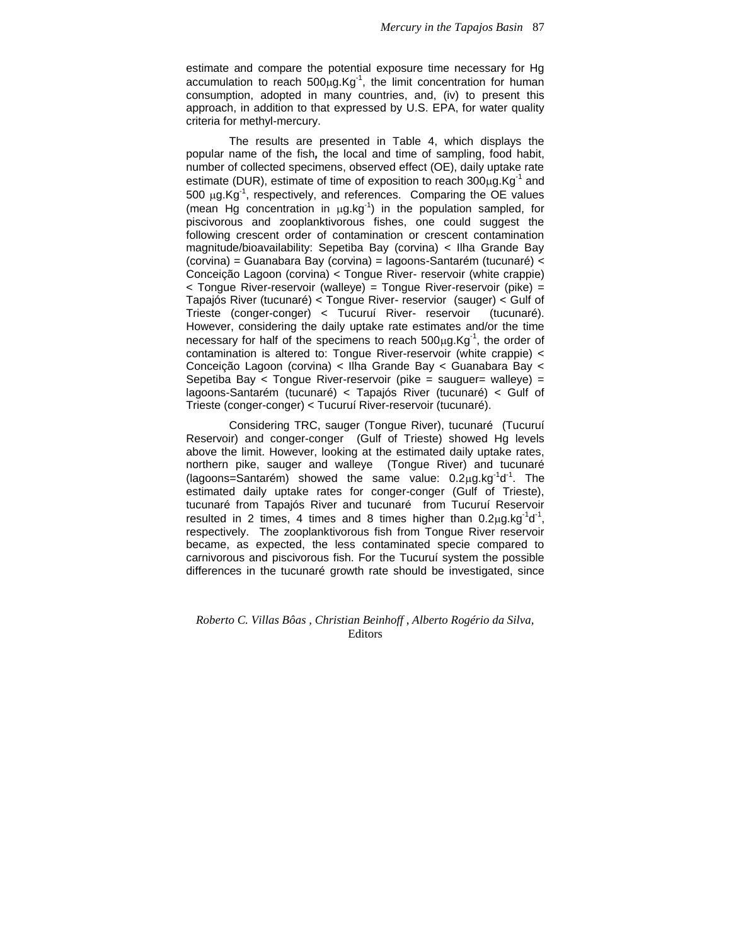estimate and compare the potential exposure time necessary for Hg accumulation to reach  $500 \mu g.Kg^{-1}$ , the limit concentration for human consumption, adopted in many countries, and, (iv) to present this approach, in addition to that expressed by U.S. EPA, for water quality criteria for methyl-mercury.

The results are presented in Table 4, which displays the popular name of the fish*,* the local and time of sampling, food habit, number of collected specimens, observed effect (OE), daily uptake rate estimate (DUR), estimate of time of exposition to reach  $300 \mu g.Kg^{-1}$  and  $500 \mu g.Kg^{-1}$ , respectively, and references. Comparing the OE values (mean Hg concentration in  $\mu$ g.kg<sup>-1</sup>) in the population sampled, for piscivorous and zooplanktivorous fishes, one could suggest the following crescent order of contamination or crescent contamination magnitude/bioavailability: Sepetiba Bay (corvina) < Ilha Grande Bay (corvina) = Guanabara Bay (corvina) = lagoons-Santarém (tucunaré) < Conceição Lagoon (corvina) < Tongue River- reservoir (white crappie) < Tongue River-reservoir (walleye) = Tongue River-reservoir (pike) = Tapajós River (tucunaré) < Tongue River- reservior (sauger) < Gulf of Trieste (conger-conger) < Tucuruí River- reservoir (tucunaré). However, considering the daily uptake rate estimates and/or the time necessary for half of the specimens to reach  $500 \mu g.Kg^{-1}$ , the order of contamination is altered to: Tongue River-reservoir (white crappie) < Conceição Lagoon (corvina) < Ilha Grande Bay < Guanabara Bay < Sepetiba Bay < Tongue River-reservoir (pike = sauguer= walleye) = lagoons-Santarém (tucunaré) < Tapajós River (tucunaré) < Gulf of Trieste (conger-conger) < Tucuruí River-reservoir (tucunaré).

Considering TRC, sauger (Tongue River), tucunaré (Tucuruí Reservoir) and conger-conger (Gulf of Trieste) showed Hg levels above the limit. However, looking at the estimated daily uptake rates, northern pike, sauger and walleye (Tongue River) and tucunaré (lagoons=Santarém) showed the same value:  $0.2\mu$ g.kg<sup>-1</sup>d<sup>-1</sup>. The estimated daily uptake rates for conger-conger (Gulf of Trieste), tucunaré from Tapajós River and tucunaré from Tucuruí Reservoir resulted in 2 times, 4 times and 8 times higher than  $0.2\mu$ g.kg<sup>-1</sup>d<sup>-1</sup>, respectively. The zooplanktivorous fish from Tongue River reservoir became, as expected, the less contaminated specie compared to carnivorous and piscivorous fish. For the Tucuruí system the possible differences in the tucunaré growth rate should be investigated, since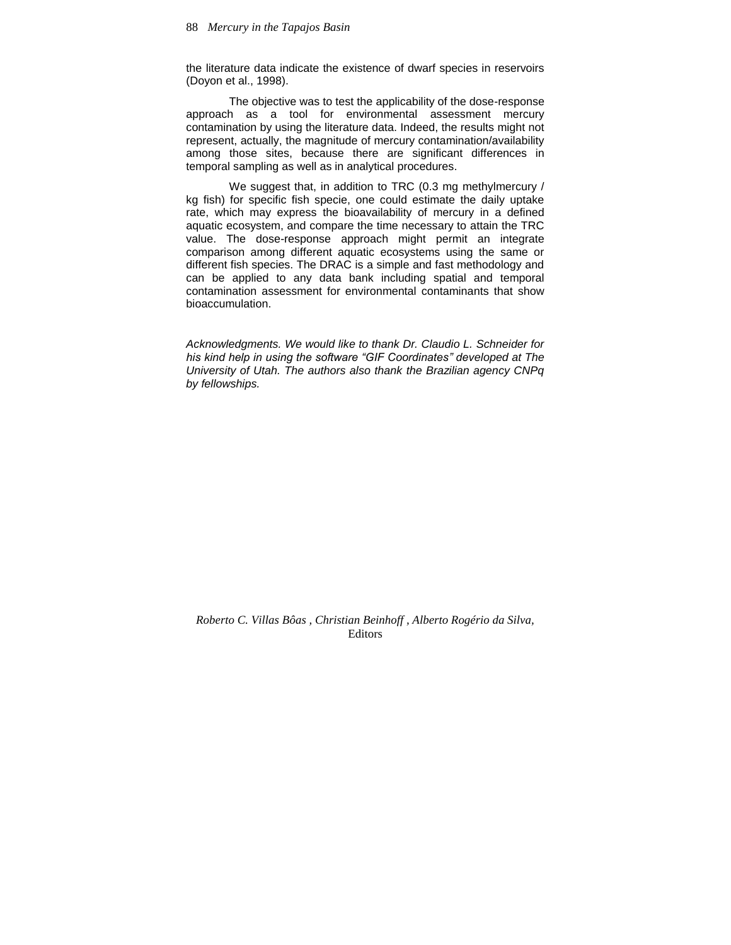the literature data indicate the existence of dwarf species in reservoirs (Doyon et al., 1998).

The objective was to test the applicability of the dose-response approach as a tool for environmental assessment mercury contamination by using the literature data. Indeed, the results might not represent, actually, the magnitude of mercury contamination/availability among those sites, because there are significant differences in temporal sampling as well as in analytical procedures.

We suggest that, in addition to TRC (0.3 mg methylmercury / kg fish) for specific fish specie, one could estimate the daily uptake rate, which may express the bioavailability of mercury in a defined aquatic ecosystem, and compare the time necessary to attain the TRC value. The dose-response approach might permit an integrate comparison among different aquatic ecosystems using the same or different fish species. The DRAC is a simple and fast methodology and can be applied to any data bank including spatial and temporal contamination assessment for environmental contaminants that show bioaccumulation.

*Acknowledgments. We would like to thank Dr. Claudio L. Schneider for his kind help in using the software "GIF Coordinates" developed at The University of Utah. The authors also thank the Brazilian agency CNPq by fellowships.*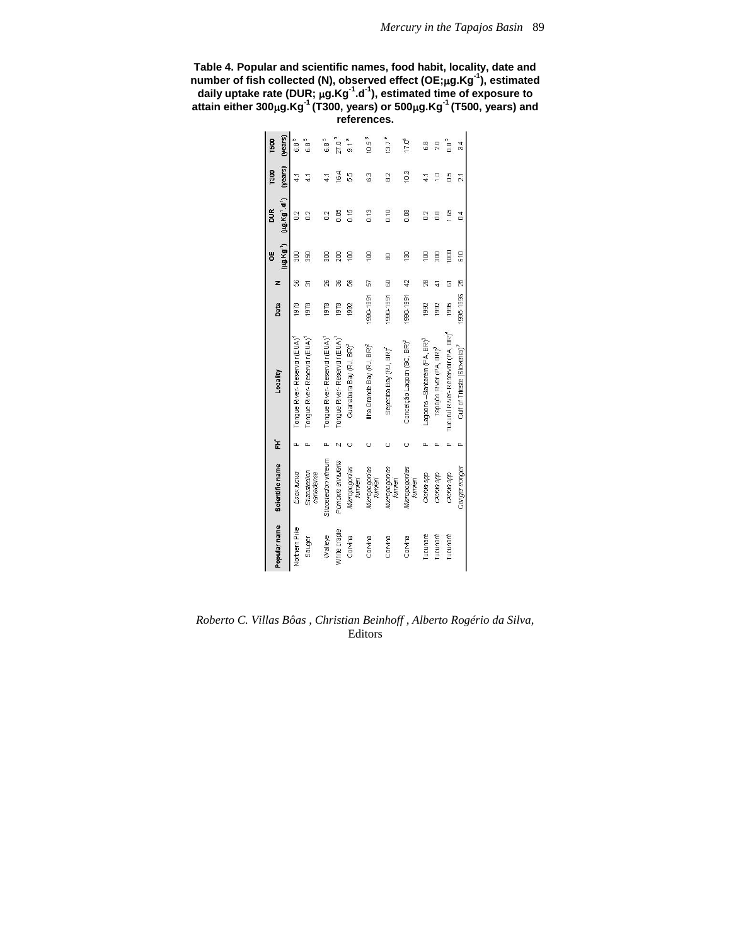| Table 4. Popular and scientific names, food habit, locality, date and                                    |
|----------------------------------------------------------------------------------------------------------|
| number of fish collected (N), observed effect (OE; $\mu$ g.Kg $^{\text{-1}}$ ), estimated                |
| daily uptake rate (DUR; $\mu$ g.Kg <sup>-1</sup> .d <sup>-1</sup> ), estimated time of exposure to       |
| attain either $300\mu$ g.Kg <sup>-1</sup> (T300, years) or $500\mu$ g.Kg <sup>-1</sup> (T500, years) and |
| references.                                                                                              |

| (years)<br>ΰũ<br>164<br>55<br>c<br>Co<br>23<br>9<br>41<br>21<br>4<br>ď<br>⊣<br>(µg.Kg <sup>1</sup> d <sup>1</sup> )<br>$\frac{3}{2}$<br>S<br>S<br>89<br>g<br>S: 0<br>e<br>O<br>8<br>ă<br>3<br>8<br>02<br>$\overline{a}$<br>(HJ, Kg')<br>1000<br>ģ<br>610<br>g<br>g<br>g<br>go<br>g<br>8<br>8<br>g<br>8<br>g<br>Ą<br>S<br>29<br>g<br>န္တ<br>8<br>g<br>5<br>z<br>ద్<br>۵<br>1995-1996<br>990-1991<br>1990-1991<br>1990-1991<br>Date<br>1978<br>1978<br>1978<br>1978<br>1992<br>1992<br>1995<br>1992<br>Tucuruí River- Reservair (PA, BR) <sup>4</sup><br>Tongue River-Reservair (EUA)<br>Tongue River-Reservair (EUA)<br>Tongue River-Reservair (EUA)<br>Tongue River-Reservair (EUA)<br>Lagoons -Santarém (PA, BR) <sup>3</sup><br>Conceição Lagoon (SC, BR) <sup>2</sup><br>llha Grande Bay (RJ, BR) <sup>2</sup><br>Guanabara Bay (RJ, BR) <sup>2</sup><br>Gulf of Trieste (Slovenia) <sup>7</sup><br>Sepetiba Bay (RJ, BR) <sup>2</sup><br>Tapajós River (PA, BR) <sup>3</sup><br>Locality<br>ť<br>Ō<br>Ò<br>Ō.<br>n<br>Stizostedion vitreum<br>Ponoxis annularis<br>Scientific name<br>Canger conger<br>Micropoconias<br>Micropogonias<br>Micropognias<br>Micropogonias<br>Stizostedion<br>canadense<br>Esox lucius<br>Cichia spp<br>Cichia spp<br>Cichia spp<br>fumieri<br>fumieri<br>fumien<br>fumieni<br>Popular name<br>Northern Pike<br>White craple<br>Tucunaré<br>Tucunaré<br>Tucunaré<br>Walleye<br>Corvina<br>Corvina<br>Corvina<br>Corvina<br>Sauger |  |  |  | ö | DUR | <b>1300</b> | T500              |
|-------------------------------------------------------------------------------------------------------------------------------------------------------------------------------------------------------------------------------------------------------------------------------------------------------------------------------------------------------------------------------------------------------------------------------------------------------------------------------------------------------------------------------------------------------------------------------------------------------------------------------------------------------------------------------------------------------------------------------------------------------------------------------------------------------------------------------------------------------------------------------------------------------------------------------------------------------------------------------------------------------------------------------------------------------------------------------------------------------------------------------------------------------------------------------------------------------------------------------------------------------------------------------------------------------------------------------------------------------------------------------------------------------------------------------------------------------------------|--|--|--|---|-----|-------------|-------------------|
|                                                                                                                                                                                                                                                                                                                                                                                                                                                                                                                                                                                                                                                                                                                                                                                                                                                                                                                                                                                                                                                                                                                                                                                                                                                                                                                                                                                                                                                                   |  |  |  |   |     |             | (years)           |
|                                                                                                                                                                                                                                                                                                                                                                                                                                                                                                                                                                                                                                                                                                                                                                                                                                                                                                                                                                                                                                                                                                                                                                                                                                                                                                                                                                                                                                                                   |  |  |  |   |     |             | 6.8               |
|                                                                                                                                                                                                                                                                                                                                                                                                                                                                                                                                                                                                                                                                                                                                                                                                                                                                                                                                                                                                                                                                                                                                                                                                                                                                                                                                                                                                                                                                   |  |  |  |   |     |             | 6.8°              |
|                                                                                                                                                                                                                                                                                                                                                                                                                                                                                                                                                                                                                                                                                                                                                                                                                                                                                                                                                                                                                                                                                                                                                                                                                                                                                                                                                                                                                                                                   |  |  |  |   |     |             | 6.8               |
|                                                                                                                                                                                                                                                                                                                                                                                                                                                                                                                                                                                                                                                                                                                                                                                                                                                                                                                                                                                                                                                                                                                                                                                                                                                                                                                                                                                                                                                                   |  |  |  |   |     |             | 27.05             |
|                                                                                                                                                                                                                                                                                                                                                                                                                                                                                                                                                                                                                                                                                                                                                                                                                                                                                                                                                                                                                                                                                                                                                                                                                                                                                                                                                                                                                                                                   |  |  |  |   |     |             | 31.6              |
|                                                                                                                                                                                                                                                                                                                                                                                                                                                                                                                                                                                                                                                                                                                                                                                                                                                                                                                                                                                                                                                                                                                                                                                                                                                                                                                                                                                                                                                                   |  |  |  |   |     |             | 10.5 <sup>6</sup> |
|                                                                                                                                                                                                                                                                                                                                                                                                                                                                                                                                                                                                                                                                                                                                                                                                                                                                                                                                                                                                                                                                                                                                                                                                                                                                                                                                                                                                                                                                   |  |  |  |   |     |             | $13.7^{6}$        |
|                                                                                                                                                                                                                                                                                                                                                                                                                                                                                                                                                                                                                                                                                                                                                                                                                                                                                                                                                                                                                                                                                                                                                                                                                                                                                                                                                                                                                                                                   |  |  |  |   |     |             | 17.0°             |
|                                                                                                                                                                                                                                                                                                                                                                                                                                                                                                                                                                                                                                                                                                                                                                                                                                                                                                                                                                                                                                                                                                                                                                                                                                                                                                                                                                                                                                                                   |  |  |  |   |     |             | $\frac{8}{6}$     |
|                                                                                                                                                                                                                                                                                                                                                                                                                                                                                                                                                                                                                                                                                                                                                                                                                                                                                                                                                                                                                                                                                                                                                                                                                                                                                                                                                                                                                                                                   |  |  |  |   |     |             | 20                |
|                                                                                                                                                                                                                                                                                                                                                                                                                                                                                                                                                                                                                                                                                                                                                                                                                                                                                                                                                                                                                                                                                                                                                                                                                                                                                                                                                                                                                                                                   |  |  |  |   |     |             | ີອ                |
|                                                                                                                                                                                                                                                                                                                                                                                                                                                                                                                                                                                                                                                                                                                                                                                                                                                                                                                                                                                                                                                                                                                                                                                                                                                                                                                                                                                                                                                                   |  |  |  |   |     |             | 34                |

*Roberto C. Villas Bôas , Christian Beinhoff , Alberto Rogério da Silva,* Editors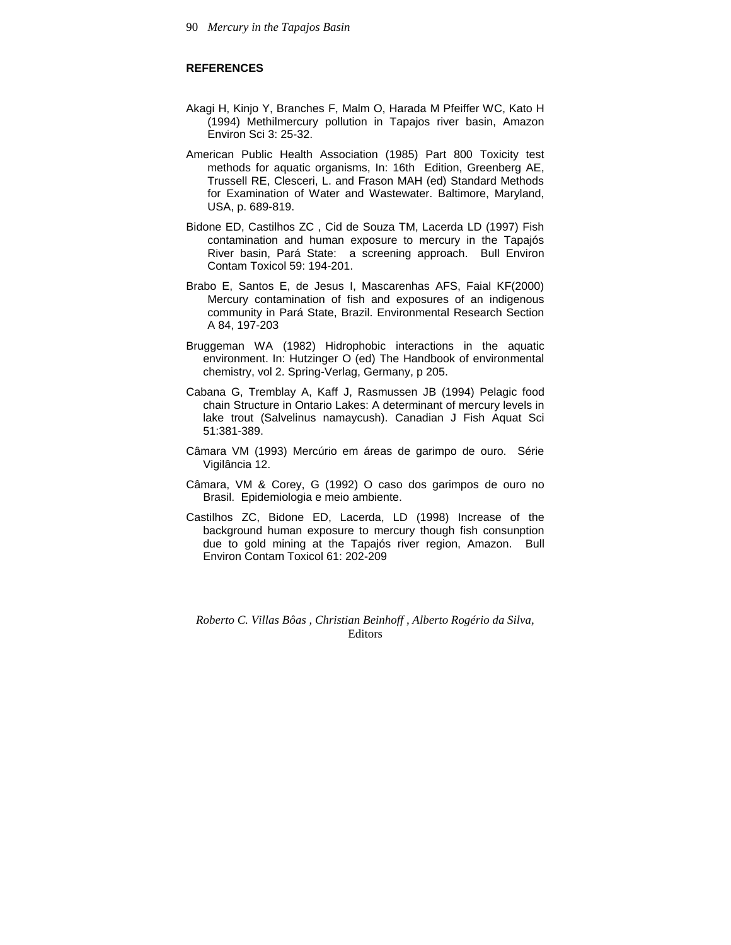# **REFERENCES**

- Akagi H, Kinjo Y, Branches F, Malm O, Harada M Pfeiffer WC, Kato H (1994) Methilmercury pollution in Tapajos river basin, Amazon Environ Sci 3: 25-32.
- American Public Health Association (1985) Part 800 Toxicity test methods for aquatic organisms, In: 16th Edition, Greenberg AE, Trussell RE, Clesceri, L. and Frason MAH (ed) Standard Methods for Examination of Water and Wastewater. Baltimore, Maryland, USA, p. 689-819.
- Bidone ED, Castilhos ZC , Cid de Souza TM, Lacerda LD (1997) Fish contamination and human exposure to mercury in the Tapajós River basin, Pará State: a screening approach. Bull Environ Contam Toxicol 59: 194-201.
- Brabo E, Santos E, de Jesus I, Mascarenhas AFS, Faial KF(2000) Mercury contamination of fish and exposures of an indigenous community in Pará State, Brazil. Environmental Research Section A 84, 197-203
- Bruggeman WA (1982) Hidrophobic interactions in the aquatic environment. In: Hutzinger O (ed) The Handbook of environmental chemistry, vol 2. Spring-Verlag, Germany, p 205.
- Cabana G, Tremblay A, Kaff J, Rasmussen JB (1994) Pelagic food chain Structure in Ontario Lakes: A determinant of mercury levels in lake trout (Salvelinus namaycush). Canadian J Fish Aquat Sci 51:381-389.
- Câmara VM (1993) Mercúrio em áreas de garimpo de ouro. Série Vigilância 12.
- Câmara, VM & Corey, G (1992) O caso dos garimpos de ouro no Brasil. Epidemiologia e meio ambiente.
- Castilhos ZC, Bidone ED, Lacerda, LD (1998) Increase of the background human exposure to mercury though fish consunption due to gold mining at the Tapajós river region, Amazon. Bull Environ Contam Toxicol 61: 202-209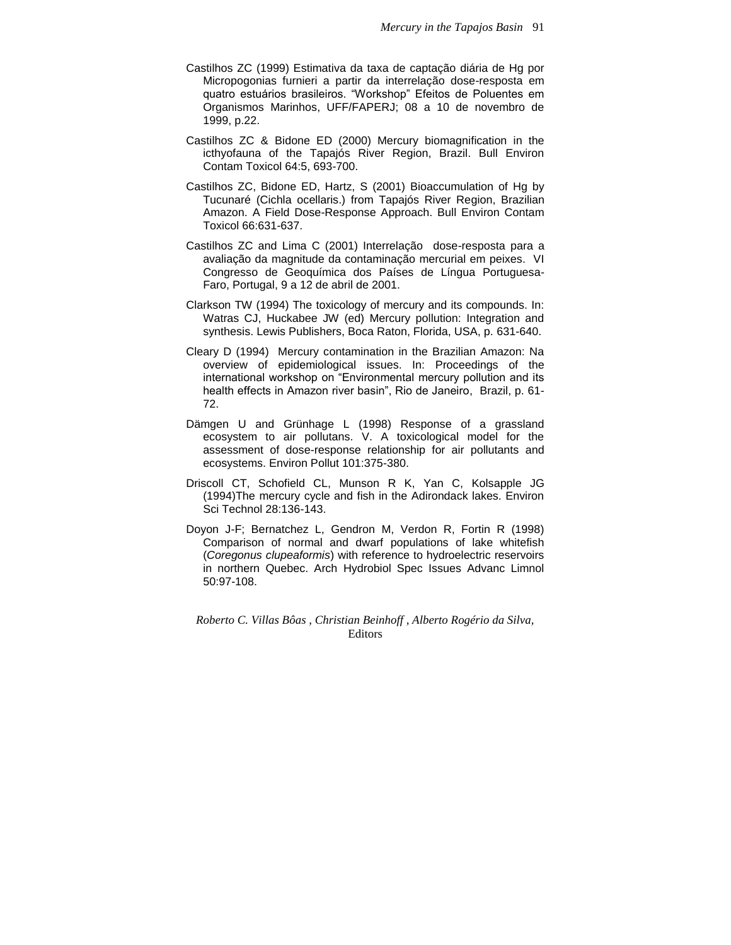- Castilhos ZC (1999) Estimativa da taxa de captação diária de Hg por Micropogonias furnieri a partir da interrelação dose-resposta em quatro estuários brasileiros. "Workshop" Efeitos de Poluentes em Organismos Marinhos, UFF/FAPERJ; 08 a 10 de novembro de 1999, p.22.
- Castilhos ZC & Bidone ED (2000) Mercury biomagnification in the icthyofauna of the Tapajós River Region, Brazil. Bull Environ Contam Toxicol 64:5, 693-700.
- Castilhos ZC, Bidone ED, Hartz, S (2001) Bioaccumulation of Hg by Tucunaré (Cichla ocellaris.) from Tapajós River Region, Brazilian Amazon. A Field Dose-Response Approach. Bull Environ Contam Toxicol 66:631-637.
- Castilhos ZC and Lima C (2001) Interrelação dose-resposta para a avaliação da magnitude da contaminação mercurial em peixes. VI Congresso de Geoquímica dos Países de Língua Portuguesa-Faro, Portugal, 9 a 12 de abril de 2001.
- Clarkson TW (1994) The toxicology of mercury and its compounds. In: Watras CJ, Huckabee JW (ed) Mercury pollution: Integration and synthesis. Lewis Publishers, Boca Raton, Florida, USA, p. 631-640.
- Cleary D (1994) Mercury contamination in the Brazilian Amazon: Na overview of epidemiological issues. In: Proceedings of the international workshop on "Environmental mercury pollution and its health effects in Amazon river basin", Rio de Janeiro, Brazil, p. 61- 72.
- Dämgen U and Grünhage L (1998) Response of a grassland ecosystem to air pollutans. V. A toxicological model for the assessment of dose-response relationship for air pollutants and ecosystems. Environ Pollut 101:375-380.
- Driscoll CT, Schofield CL, Munson R K, Yan C, Kolsapple JG (1994)The mercury cycle and fish in the Adirondack lakes. Environ Sci Technol 28:136-143.
- Doyon J-F; Bernatchez L, Gendron M, Verdon R, Fortin R (1998) Comparison of normal and dwarf populations of lake whitefish (*Coregonus clupeaformis*) with reference to hydroelectric reservoirs in northern Quebec. Arch Hydrobiol Spec Issues Advanc Limnol 50:97-108.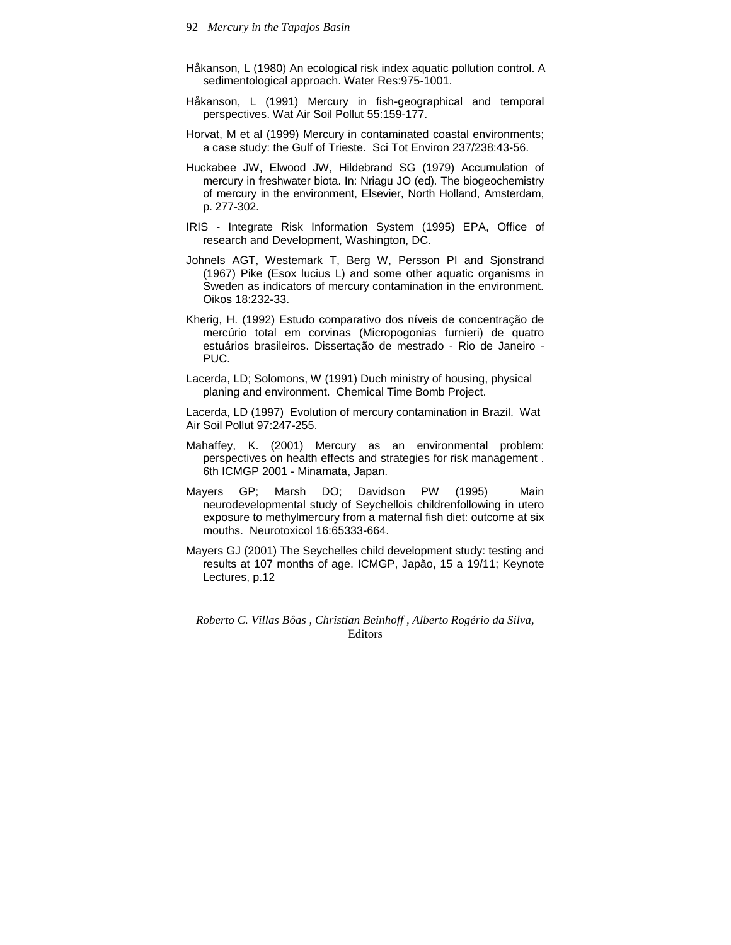- Håkanson, L (1980) An ecological risk index aquatic pollution control. A sedimentological approach. Water Res:975-1001.
- Håkanson, L (1991) Mercury in fish-geographical and temporal perspectives. Wat Air Soil Pollut 55:159-177.
- Horvat, M et al (1999) Mercury in contaminated coastal environments; a case study: the Gulf of Trieste. Sci Tot Environ 237/238:43-56.
- Huckabee JW, Elwood JW, Hildebrand SG (1979) Accumulation of mercury in freshwater biota. In: Nriagu JO (ed). The biogeochemistry of mercury in the environment, Elsevier, North Holland, Amsterdam, p. 277-302.
- IRIS Integrate Risk Information System (1995) EPA, Office of research and Development, Washington, DC.
- Johnels AGT, Westemark T, Berg W, Persson PI and Sjonstrand (1967) Pike (Esox lucius L) and some other aquatic organisms in Sweden as indicators of mercury contamination in the environment. Oikos 18:232-33.
- Kherig, H. (1992) Estudo comparativo dos níveis de concentração de mercúrio total em corvinas (Micropogonias furnieri) de quatro estuários brasileiros. Dissertação de mestrado - Rio de Janeiro - PUC.
- Lacerda, LD; Solomons, W (1991) Duch ministry of housing, physical planing and environment. Chemical Time Bomb Project.

Lacerda, LD (1997) Evolution of mercury contamination in Brazil. Wat Air Soil Pollut 97:247-255.

- Mahaffey, K. (2001) Mercury as an environmental problem: perspectives on health effects and strategies for risk management . 6th ICMGP 2001 - Minamata, Japan.
- Mayers GP; Marsh DO; Davidson PW (1995) Main neurodevelopmental study of Seychellois childrenfollowing in utero exposure to methylmercury from a maternal fish diet: outcome at six mouths. Neurotoxicol 16:65333-664.
- Mayers GJ (2001) The Seychelles child development study: testing and results at 107 months of age. ICMGP, Japão, 15 a 19/11; Keynote Lectures, p.12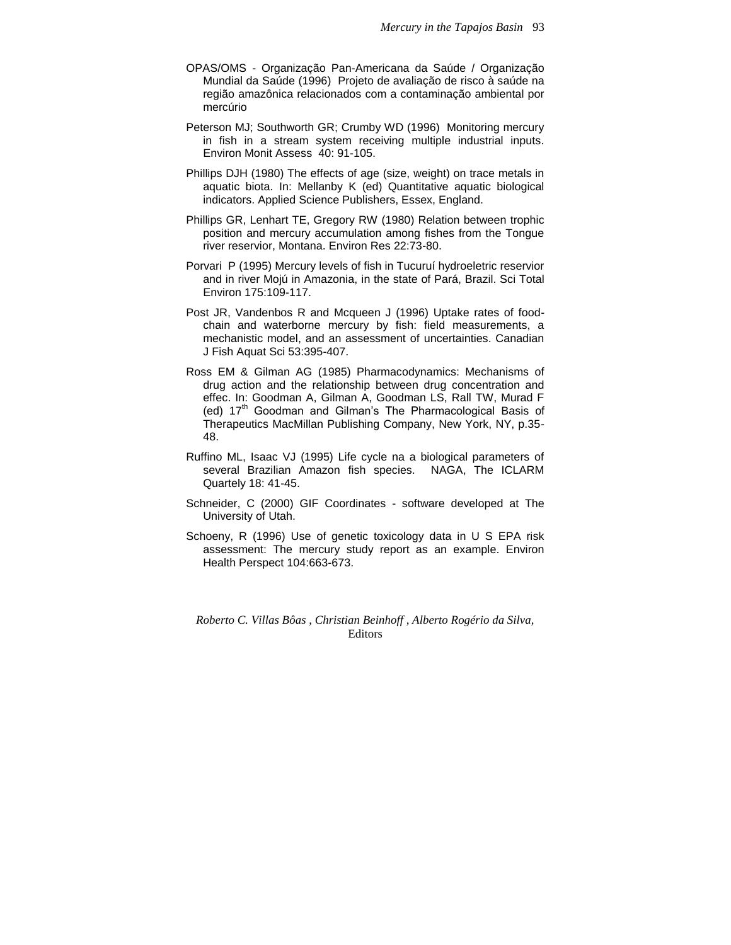- OPAS/OMS Organização Pan-Americana da Saúde / Organização Mundial da Saúde (1996) Projeto de avaliação de risco à saúde na região amazônica relacionados com a contaminação ambiental por mercúrio
- Peterson MJ; Southworth GR; Crumby WD (1996) Monitoring mercury in fish in a stream system receiving multiple industrial inputs. Environ Monit Assess 40: 91-105.
- Phillips DJH (1980) The effects of age (size, weight) on trace metals in aquatic biota. In: Mellanby K (ed) Quantitative aquatic biological indicators. Applied Science Publishers, Essex, England.
- Phillips GR, Lenhart TE, Gregory RW (1980) Relation between trophic position and mercury accumulation among fishes from the Tongue river reservior, Montana. Environ Res 22:73-80.
- Porvari P (1995) Mercury levels of fish in Tucuruí hydroeletric reservior and in river Mojú in Amazonia, in the state of Pará, Brazil. Sci Total Environ 175:109-117.
- Post JR, Vandenbos R and Mcqueen J (1996) Uptake rates of foodchain and waterborne mercury by fish: field measurements, a mechanistic model, and an assessment of uncertainties. Canadian J Fish Aquat Sci 53:395-407.
- Ross EM & Gilman AG (1985) Pharmacodynamics: Mechanisms of drug action and the relationship between drug concentration and effec. In: Goodman A, Gilman A, Goodman LS, Rall TW, Murad F (ed)  $17<sup>th</sup>$  Goodman and Gilman's The Pharmacological Basis of Therapeutics MacMillan Publishing Company, New York, NY, p.35- 48.
- Ruffino ML, Isaac VJ (1995) Life cycle na a biological parameters of several Brazilian Amazon fish species. NAGA, The ICLARM Quartely 18: 41-45.
- Schneider, C (2000) GIF Coordinates software developed at The University of Utah.
- Schoeny, R (1996) Use of genetic toxicology data in U S EPA risk assessment: The mercury study report as an example. Environ Health Perspect 104:663-673.